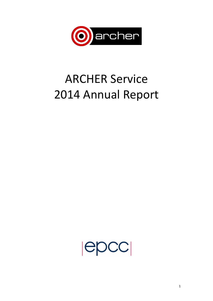

# **ARCHER Service** 2014 Annual Report

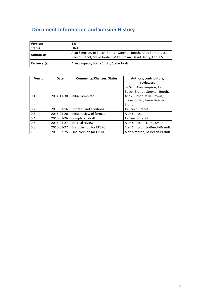# **Document Information and Version History**

| <b>Version:</b> | 1.0                                                                                                                                  |
|-----------------|--------------------------------------------------------------------------------------------------------------------------------------|
| <b>Status</b>   | <b>FINAL</b>                                                                                                                         |
| Author(s):      | Alan Simpson, Jo Beech-Brandt, Stephen Booth, Andy Turner, Jason<br>Beech-Brandt, Steve Jordan, Mike Brown, David Henty, Lorna Smith |
| Reviewer(s)     | Alan Simpson, Lorna Smith, Steve Jordan                                                                                              |

| <b>Version</b> | Date       | <b>Comments, Changes, Status</b> | Authors, contributors,<br>reviewers                                                                                                  |
|----------------|------------|----------------------------------|--------------------------------------------------------------------------------------------------------------------------------------|
| 0.1            | 2014-11-30 | <b>Initial Template</b>          | Liz Sim, Alan Simpson, Jo<br>Beech-Brandt, Stephen Booth,<br>Andy Turner, Mike Brown,<br>Steve Jordan, Jason Beech-<br><b>Brandt</b> |
| 0.2            | 2015-01-16 | Updates and additions            | Jo Beech-Brandt                                                                                                                      |
| 0.3            | 2015-01-20 | Initial review of format         | Alan Simpson                                                                                                                         |
| 0.4            | 2015-01-26 | Completed draft                  | Jo Beech-Brandt                                                                                                                      |
| 0.5            | 2015-01-27 | Internal review                  | Alan Simpson, Lorna Smith                                                                                                            |
| 0.6            | 2015-01-27 | Draft version for EPSRC          | Alan Simpson, Jo-Beech-Brandt                                                                                                        |
| 1.0            | 2015-02-25 | <b>Final Version for EPSRC</b>   | Alan Simpson, Jo-Beech-Brandt                                                                                                        |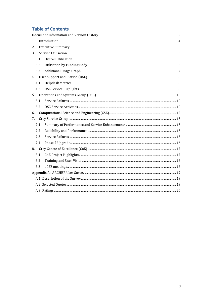# **Table of Contents**

| 1. |     |  |
|----|-----|--|
| 2. |     |  |
| 3. |     |  |
|    | 3.1 |  |
|    | 3.2 |  |
|    | 3.3 |  |
|    |     |  |
|    | 4.1 |  |
|    | 4.2 |  |
|    |     |  |
|    | 5.1 |  |
|    | 5.2 |  |
| 6. |     |  |
| 7. |     |  |
|    | 7.1 |  |
|    | 7.2 |  |
|    | 7.3 |  |
|    | 7.4 |  |
| 8. |     |  |
|    | 8.1 |  |
|    | 8.2 |  |
|    | 8.3 |  |
|    |     |  |
|    |     |  |
|    |     |  |
|    |     |  |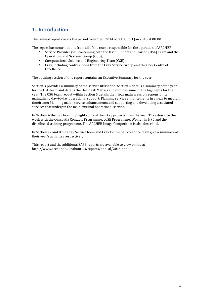# **1. Introduction**

This annual report covers the period from 1 Jan 2014 at  $08:00$  to 1 Jan 2015 at  $08:00$ .

The report has contributions from all of the teams responsible for the operation of ARCHER;

- Service Provider (SP) containing both the User Support and Liaison (USL) Team and the Operations and Systems Group (OSG);
- Computational Science and Engineering Team (CSE);
- Cray, including contributions from the Cray Service Group and the Cray Centre of Excellence.

The opening section of this report contains an Executive Summary for the year.

Section 3 provides a summary of the service utilisation. Section 4 details a summary of the year for the USL team and details the Helpdesk Metrics and outlines some of the highlights for the year. The OSG team report within Section 5 details their four main areas of responsibility; maintaining day-to-day operational support; Planning service enhancements in a near to medium timeframe; Planning major service enhancements and supporting and developing associated services that underpin the main external operational service.

In Section 6 the CSE team highlight some of their key projects from the year. They describe the work with the Consortia Contacts Programme, eCSE Programme, Women in HPC and the distributed training programme. The ARCHER Image Competition is also described.

In Sections 7 and 8 the Cray Service team and Cray Centre of Excellence team give a summary of their year's activities respectively.

This report and the additional SAFE reports are available to view online at http://www.archer.ac.uk/about-us/reports/annual/2014.php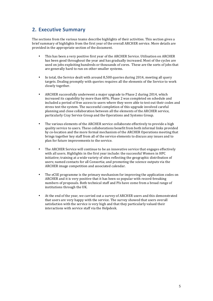# **2. Executive Summary**

The sections from the various teams describe highlights of their activities. This section gives a brief summary of highlights from the first year of the overall ARCHER service. More details are provided in the appropriate section of the document.

- This has been a very positive first year of the ARCHER Service. Utilisation on ARCHER has been good throughout the year and has gradually increased. Most of the cycles are used on jobs exploiting hundreds or thousands of cores. These are the sorts of jobs that are generally hard to run on other smaller systems.
- In total, the Service dealt with around 8.500 queries during 2014, meeting all query targets. Dealing promptly with queries requires all the elements of the Service to work closely together.
- ARCHER successfully underwent a major upgrade to Phase 2 during 2014, which increased its capability by more than  $60\%$ . Phase 2 was completed on schedule and included a period of free access to users where they were able to test out their codes and stress test the system. The successful completion of this upgrade involved careful planning and close collaboration between all the elements of the ARCHER service, particularly Cray Service Group and the Operations and Systems Group.
- The various elements of the ARCHER service collaborate effectively to provide a high quality service to users. These collaborations benefit from both informal links provided by co-location and the more formal mechanism of the ARCHER Operations meeting that brings together key staff from all of the service elements to discuss any issues and to plan for future improvements to the service.
- The ARCHER Service will continue to be an innovative service that engages effectively with all users. Highlights in the first year include: the successful Women in HPC initiative; training at a wide variety of sites reflecting the geographic distribution of users; named contacts for all Consortia; and promoting the science outputs via the ARCHER image competition and associated calendar.
- The eCSE programme is the primary mechanism for improving the application codes on ARCHER and it is very positive that it has been so popular with record-breaking numbers of proposals. Both technical staff and PIs have come from a broad range of institutions through the UK.
- At the end of the year, we carried out a survey of ARCHER users and this demonstrated that users are very happy with the service. The survey showed that users overall satisfaction with the service is very high and that they particularly valued their interactions with service staff via the Helpdesk.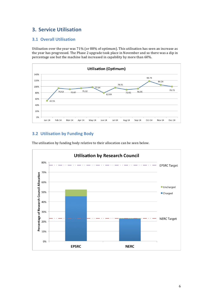# **3. Service Utilisation**

### **3.1 Overall Utilisation**

Utilisation over the year was 71% (or 88% of optimum). This utilisation has seen an increase as the year has progressed. The Phase 2 upgrade took place in November and so there was a dip in percentage use but the machine had increased in capability by more than  $60\%$ .



# **3.2 Utilisation by Funding Body**



The utilisation by funding body relative to their allocation can be seen below.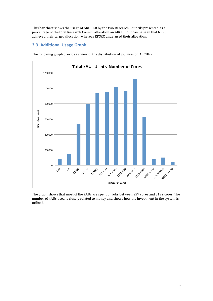This bar chart shows the usage of ARCHER by the two Research Councils presented as a percentage of the total Research Council allocation on ARCHER. It can be seen that NERC achieved their target allocation, whereas EPSRC underused their allocation.

# **3.3 Additional Usage Graph**



The following graph provides a view of the distribution of job sizes on ARCHER.

The graph shows that most of the kAUs are spent on jobs between 257 cores and 8192 cores. The number of kAUs used is closely related to money and shows how the investment in the system is utilised.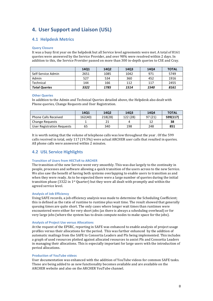# **4. User Support and Liaison (USL)**

### **4.1 Helpdesk Metrics**

### **Query Closure**

It was a busy first year on the helpdesk but all Service level agreements were met. A total of 8161 queries were answered by the Service Provider, and over 98% were resolved within 2 days. In addition to this, the Service Provider passed on more than 300 in-depth queries to CSE and Cray.

|                      | 1401 | 14Q2 | 14Q3 | 14Q4 | <b>TOTAL</b> |
|----------------------|------|------|------|------|--------------|
| Self-Service Admin   | 2651 | 1085 | 1042 | 971  | 5749         |
| Admin                | 527  | 534  | 360  | 452  | 1916         |
| Technical            | 144  | 166  | 112  | 117  | 2455         |
| <b>Total Queries</b> | 3322 | 1785 | 1514 | 1540 | 8161         |

### **Other Queries**

In addition to the Admin and Technical Queries detailed above, the Helpdesk also dealt with Phone queries, Change Requests and User Registration.

|                             | 1401    | 14Q2    | 1403     | 1404    | <b>TOTAL</b> |
|-----------------------------|---------|---------|----------|---------|--------------|
| <b>Phone Calls Received</b> | 162(40) | 218(28) | 122 (28) | 97 (21) | 599(117)     |
| <b>Change Requests</b>      |         |         | 4        |         | 38           |
| User Registration Requests  | 65      | 340     | 198      | 248     | 851          |

It is worth noting that the volume of telephone calls was low throughout the year . Of the 599 calls received in total, only  $117$  ( $19.5\%$ ) were actual ARCHER user calls that resulted in queries. All phone calls were answered within 2 minutes.

### **4.2 USL Service Highlights**

### **Transition of Users from HECTOR to ARCHER**

The transition of the new Service went very smoothly. This was due largely to the continuity in people, processes and software allowing a quick transition of the users across to the new Service. We also saw the benefit of having both systems overlapping to enable users to transition as and when they were ready. As to be expected there were a large number of queries during the initial transition phase  $(3322$  in 1<sup>st</sup> Quarter) but they were all dealt with promptly and within the agreed service level.

### **Analysis of Job Efficiency**

Using SAFE records, a job efficiency analysis was made to determine the Scheduling Coefficient; this is defined as the ratio of runtime to runtime plus wait time. The result showed that generally queuing times are quite short. The only cases where longer wait times than runtimes were encountered were either for very short jobs (as there is always a scheduling overhead) or for very large jobs (where the system has to drain compute nodes to make space for the jobs).

#### **Analysis of Project Use versus Allocations**

At the request of the EPSRC, reporting in SAFE was enhanced to enable analysis of project usage profiles versus their allocations for the period. This was further enhanced by the addition of automatic mailings from the SAFE to Consortia Leaders and PIs being implemented. This includes a graph of used resources plotted against allocated resources to assist PIs and Consortia Leaders in managing their allocations. This is especially important for large users with the introduction of period allocations.

#### **Production of YouTube videos**

User documentation was enhanced with the addition of YouTube videos for common SAFE tasks. These are being added to as new functionality becomes available and are available on the ARCHER website and also on the ARCHER YouTube channel.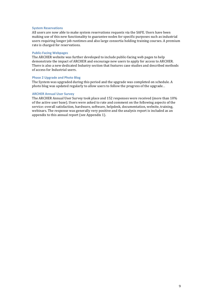#### **System Reservations**

All users are now able to make system reservations requests via the SAFE. Users have been making use of this new functionality to guarantee nodes for specific purposes such as industrial users requiring longer job runtimes and also large consortia holding training courses. A premium rate is charged for reservations.

### **Public-Facing Webpages**

The ARCHER website was further developed to include public-facing web pages to help demonstrate the impact of ARCHER and encourage new users to apply for access to ARCHER. There is also a new dedicated Industry section that features case studies and described methods of access for Industrial users.

#### **Phase 2 Upgrade and Photo Blog**

The System was upgraded during this period and the upgrade was completed on schedule. A photo blog was updated regularly to allow users to follow the progress of the upgrade..

### **ARCHER Annual User Survey**

The ARCHER Annual User Survey took place and 152 responses were received (more than  $10\%$ ) of the active user base). Users were asked to rate and comment on the following aspects of the service: overall satisfaction, hardware, software, helpdesk, documentation, website, training, webinars. The response was generally very positive and the analysis report is included as an appendix to this annual report (see Appendix 1).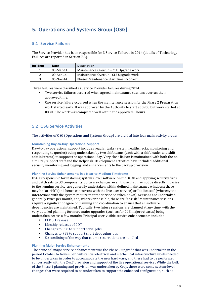# **5. Operations and Systems Group (OSG)**

### **5.1 Service Failures**

The Service Provider has been responsible for 3 Service Failures in 2014 (details of Technology Failures are reported in Section 7.3).

| Incident | Date      | <b>Description</b>                             |
|----------|-----------|------------------------------------------------|
|          | 03-Mar-14 | Maintenance Overrun – CLE Upgrade work         |
|          | 09-Apr-14 | Maintenance Overrun - CLE Upgrade work         |
|          | 05-Nov-14 | <b>Phase2 Maintenance Start Time Incorrect</b> |

Three failures were classified as Service Provider failures during 2014

- Two service failures occurred when agreed maintenance sessions overran their approved time.
- One service failure occurred when the maintenance session for the Phase 2 Preparation work started early. It was approved by the Authority to start at 0900 but work started at 0830. The work was completed well within the approved 8 hours.

# **5.2 OSG Service Activities**

The activities of OSG (Operations and Systems Group) are divided into four main activity areas:

### **Maintaining Day-to-Day Operational Support**

Day-to-day operational support includes regular tasks (system healthchecks, monitoring and responding to queries) being undertaken by two shift teams (each with a shift leader and shift administrator) to support the operational day. Very close liaison is maintained with both the onsite Cray support staff and the Helpdesk. Development activities have included additional security monitoring and logging, and enhancements to the backup provision

### **Planning Service Enhancements in a Near-to Medium Timeframe**

OSG is responsible for installing systems level software on the XC30 and applying security fixes and patch sets to OS components. Software changes, even those that may not be directly invasive to the running service, are generally undertaken within defined maintenance windows; these may be "at-risk" (and hence concurrent with the live user service) or "dedicated" (whereby the interactions with the system require that the service be taken down). Sessions are undertaken generally twice per month, and, wherever possible, these are "at-risk." Maintenance sessions require a significant degree of planning and coordination to ensure that all software dependencies are maintained. Typically, two future sessions are planned at any time, with the very detailed planning for more major upgrades (such as for CLE major releases) being undertaken across a few months. Principal user-visible service enhancements included:

- CLE 5.1 release
- Monthly releases of CDT
- Changes to PBS to support serial jobs
- Changes to PBS to support short debugging jobs
- Streamlining of the way that course reservations are handled

### **Planning Major Service Enhancements**

The principal major service enhancement was the Phase 2 upgrade that was undertaken in the period October to November. Substantial electrical and mechanical infrastructure works needed to be undertaken in order to accommodate the new hardware, and these had to be performed concurrently with the 24x7 provision and support of the live operational service . While the bulk of the Phase 2 planning and provision was undertaken by Cray, there were some system-level changes that were required to be undertaken to support the enhanced configuration, such as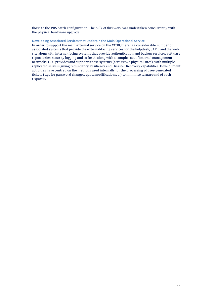those to the PBS batch configuration. The bulk of this work was undertaken concurrently with the physical hardware upgrade

### **Developing Associated Services that Underpin the Main Operational Service**

In order to support the main external service on the XC30, there is a considerable number of associated systems that provide the external-facing services for the helpdesk, SAFE, and the web site along with internal-facing systems that provide authentication and backup services, software repositories, security logging and so forth, along with a complex set of internal management networks. OSG provides and supports these systems (across two physical sites), with multiplereplicated servers giving redundancy, resiliency and Disaster Recovery capabilities. Development activities have centred on the methods used internally for the processing of user-generated tickets (e.g., for password changes, quota modifications, ...) to minimise turnaround of such requests.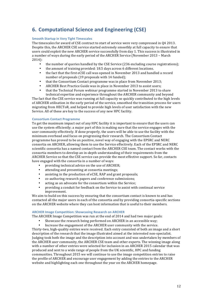# **6. Computational Science and Engineering (CSE)**

### **Smooth Startup in Very Tight Timescales**

The timescales for award of CSE contract to start of service were very compressed in 04 2013. Despite this, the ARCHER CSE service started extremely smoothly at full capacity to ensure that users could exploit the new ARCHER service successfully from day 1. This success is illustrated in a number of ways during the early period of the ARCHER Service (November 2013 – March 2014):

- the number of queries handled by the CSE Service (236 excluding course registrations);
- the amount of training provided:  $18.5$  days across 6 different locations.<br>• the fact that the first eCSE call was opened in November 2013 and hand
- the fact that the first eCSE call was opened in November 2013 and handled a record number of proposals  $(19 \text{ proposals with } 14 \text{ funded})$ :
- that the Consortium Contact programme was in place from November 2013;
- ARCHER Best Practice Guide was in place in November 2013 to assist users:
- that the Technical Forum webinar programme started in November 2013 to share technical expertise and experience throughout the ARCHER community and beyond

The fact that the CSE service was running at full capacity so quickly contributed to the high levels of ARCHER utilisation in the early period of the service, smoothed the transition process for users migrating from HECToR, and helped to provide high levels of user satisfaction with the new Service. All of these are key to the success of any new HPC facility.

### **Consortium Contact Programme**

To get the maximum impact out of any HPC facility it is important to ensure that the users can use the system efficiently; a major part of this is making sure that the service engages with the user community effectively. If done properly, the users will be able to use the facility with the minimum overhead and focus on progressing their research. The Consortium Contact programme has proved to be an positive, novel way of engaging with the EPSRC and NERC consortia on ARCHER, allowing them to use the Service effectively. Each of the EPSRC and NERC scientific consortia has a named contact from the ARCHER CSE team. The contact works with the consortia members to develop an in-depth understanding of their requirements from the ARCHER Service so that the CSE service can provide the most effective support. So far, contacts have engaged with the consortia in a number of ways:

- providing technical advice on the use of ARCHER;
- attending and presenting at consortia meetings;
- assisting in the production of eCSE, RAP and grant proposals;
- co-authoring research papers and conference submissions;
- acting as an advocate for the consortium within the Service;
- providing a conduit for feedback on the Service to assist with continual service improvement.

We aim to build on this success by ensuring that the consortium contact is known to and has contacted all the major users in each of the consortia and by providing consortia-specific sections on the ARCHER website where they can host information that is useful to their members.

### **ARCHER Image Competition: Showcasing Research on ARCHER**

The ARCHER Image Competition was run at the end of 2014 and had two major goals:

- Showcase the research being performed on ARCHER in an accessible way;
- Increase the engagement of the ARCHER user community with the service.

Thirty-two, high-quality entries were received. Each entry consisted of both an image and a short description of the research that the image illustrated aimed at the interested non-specialist. Judging took both the image and the description into account and was undertaken by members of the ARCHER user community, the ARCHER CSE team and other experts. The winning image along with a number of other entries were selected for inclusion in an ARCHER 2015 calendar that was produced and sent to a wide range of people from the UK scientific, HPC and funding communities. Throughout 2015 we will continue to use the image competition entries to raise the profile of ARCHER and encourage user engagement by adding the entries to the ARCHER website and highlighting each one throughout the year on the ARCHER homepage.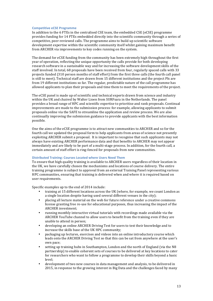#### **Competitive eCSE Programme**

In addition to the  $6$  FTEs in the centralised CSE team, the embedded CSE (eCSE) programme provides funding for 14 FTEs embedded directly into the scientific community through a series of competitive, peer-reviewed calls. The programme aims to build up scientific software development expertise within the scientific community itself whilst gaining maximum benefit from ARCHER via improvements to key codes running on the system.

The demand for eCSE funding from the community has been extremely high throughout the first year of operation, reflecting the unique opportunity the calls provide for both developing research software in a sustainable way and for increasing the software development skills of the staff involved. In total, 68 proposals have been received from four, regularly spaced calls with 33 projects funded (310 person months of staff effort) from the first three calls (the fourth call panel is still to meet). Technical staff are drawn from 15 different institutions and the project PIs are from 19 different institutions so far. The regular, predictable nature of the call programme has allowed applicants to plan their proposals and time them to meet the requirements of the project.

The eCSE panel is made up of scientific and technical experts drawn from science and industry within the UK and chaired by Walter Lioen from SURFsara in the Netherlands. The panel provides a broad range of HPC and scientific expertise to prioritise and rank proposals. Continual improvements are made to the submission process: for example, allowing applicants to submit proposals online via the SAFE to streamline the application and review process. We are also continually improving the submission guidance to provide applicants with the best information possible.

One the aims of the eCSE programme is to attract new communities to ARCHER and so for the fourth call we updated the proposal form to help applicants from areas of science not presently exploiting ARCHER submit a proposal. It is important to recognise that such applicants may not always have existing ARCHER performance data and that benefits to ARCHER may not appear immediately and are likely to be part of a multi-stage process. In addition, for the fourth call, a certain amount of staff effort is ring-fenced for proposals from new communities.

### **Distributed Training: Courses Located where Users Need Them**

To ensure that high quality training is available to ARCHER users regardless of their location in the UK, we have carefully chosen the mechanisms and locations of course delivery. The entire training programme is subject to approval from an external Training Panel representing various HPC communities, ensuring that training is delivered when and where it is required based on user requirements.

Specific examples up to the end of 2014 include:

- training at 15 different locations across the UK (where, for example, we count London as a single location despite having used several different venues in the city):
- placing all lecture material on the web for future reference under a creative commons license granting free re-use for educational purposes, thus increasing the impact of the ARCHER investment;
- running monthly interactive virtual tutorials with recordings made available via the ARCHER YouTube channel to allow users to benefit from the training even if they are unable to attend in person;
- developing an online ARCHER Driving Test for users to test their knowledge and to increase the skills base of the UK HPC community:
- packaging up lectures, exercises and videos into an online introductory course which leads onto the ARCHER Driving Test so that this can be sat from anywhere at the user's own pace:
- setting up training hubs in Southampton, London and the north of England (via the  $N8$ ) partnership) to enable coherent sets of courses to be delivered at key locations to cater for researchers who want to follow a programme to develop their skills beyond a basic level;
- development of two new courses in data management and analysis, to be delivered in 2015, in response to the growing interest in Big Data and the challenges faced by many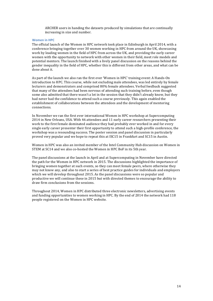ARCHER users in handing the datasets produced by simulations that are continually increasing in size and number.

#### **Women in HPC**

The official launch of the Women in HPC network took place in Edinburgh in April 2014, with a conference bringing together over 30 women working in HPC from around the UK, showcasing work by leading women in the field of HPC from across the UK, and providing the early career women with the opportunity to network with other women in their field, meet role models and potential mentors. The launch finished with a lively panel discussion on the reasons behind the gender inequality in the field of HPC, whether this is different from other areas, and what can be done about it.

As part of the launch we also ran the first ever 'Women in HPC' training event: A Hands-On introduction to HPC. This course, while not excluding male attendees, was led entirely by female lecturers and demonstrators and comprised 80% female attendees. Verbal feedback suggested that many of the attendees had been nervous of attending such training before, even though some also admitted that there wasn't a lot in the session that they didn't already know, but they had never had the confidence to attend such a course previously. This again enabled the establishment of collaborations between the attendees and the development of mentoring connections.

In November we ran the first ever international Women in HPC workshop at Supercomputing 2014 in New Orleans, USA. With 46 attendees and 11 early career researchers presenting their work to the first female dominated audience they had probably ever worked in and for every single early career presenter their first opportunity to attend such a high-profile conference, the workshop was a resounding success. The poster session and panel discussion in particularly proved very popular and we hope to repeat this at ISC15 in Frankfurt and SC15 in Austin.

Women in HPC was also an invited member of the Intel Community Hub discussion on Women in STEM at SC14 and we also co-hosted the Women in HPC BoF in its 5th year.

The panel discussions at the launch in April and at Supercomputing in November have directed the path for the Women in HPC network in 2015. The discussions highlighted the importance of bringing women together at such events, so they can meet female peers, where otherwise they may not know any, and also to start a series of best practice guides for individuals and employers which we will develop throughout 2015. As the panel discussions were so popular and productive we will continue these in 2015 but with directed themes to encourage the ability to draw firm conclusions from the sessions.

Throughout 2014, Women in HPC distributed three electronic newsletters, advertising events and funding opportunities to women working in HPC. By the end of  $2014$  the network had  $118$ people registered on the Women in HPC website.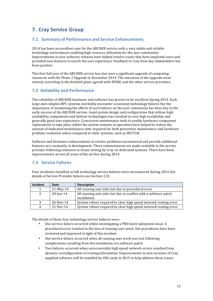# **7. Cray Service Group**

### **7.1 Summary of Performance and Service Enhancements**

2014 has been an excellent year for the ARCHER service with a very stable and reliable technology environment enabling high resource utilisation for the user community. Improvements in new software releases have helped resolve issues that have impacted users and provided new features to enrich the user experience. Feedback to Cray from key stakeholders has been positive.

This first full year of the ARCHER service has also seen a significant upgrade of computing resources with the Phase 2 Upgrade in November 2014. The execution of the upgrade went entirely according to the detailed plans agreed with EPSRC and the other service providers.

# **7.2 Reliability and Performance**

The reliability of ARCHER hardware and software has proven to be excellent during 2014. Such large and complex HPC systems inevitably encounter occasional technology failures but the importance of minimising the effects of such failures on the user community has been key to the early success of the ARCHER service. Good system design and configuration that utilises high availability components and failover technologies has resulted in very high availability and generally good user experience. Concurrent maintenance tools to enable hardware component replacement to take place whilst the system remains in operation have helped to reduce the amount of dedicated maintenance time required for both preventive maintenance and hardware problem resolution when compared to older systems, such as HECToR.

Software and firmware enhancements to resolve problems encountered and provide additional features are constantly in development. These enhancements are made available to the service provider following extensive in-house testing by Cray on dedicated systems. There have been improvements across all areas of the service during 2014.

### **7.3 Service Failures**

Four incidents classified as full technology service failures were encountered during 2014 (for details of Service Provider failures see Section 3.3):

| Incident       | Date         | <b>Description</b>                                                               |
|----------------|--------------|----------------------------------------------------------------------------------|
|                | 21-May-14    | All running user jobs lost due to procedural error                               |
| 2              | $20$ -Jun-14 | All running user jobs lost due to conflict with a software patch<br>installation |
| 3              | 26-Nov-14    | System reboot required to clear high speed network routing error                 |
| $\overline{4}$ | 31-Dec-14    | System reboot required to clear high speed network routing error                 |

The details of these four technology service failures were:

- One service failure occurred whilst investigating a PBS batch subsystem issue. A procedural error resulted in the loss of running user work. Site procedures have been reviewed and improved in light of this incident.
- One service failure occurred when all running user work was lost following complications resulting from the installation of a software patch.
- Two failures occurred when unrecoverable high speed network errors resulted from dynamic reconfiguration of routing information. Improvements in new versions of Cray supplied software will be installed by OSG early in 2015 to help address these issues.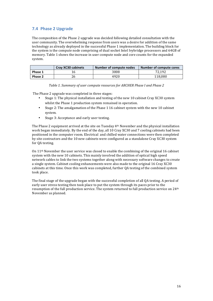# **7.4 Phase 2 Upgrade**

The composition of the Phase 2 upgrade was decided following detailed consultation with the user community. The overwhelming response from users was a desire for addition of the same technology as already deployed in the successful Phase 1 implementation. The building block for the system is the compute node comprising of dual socket Intel Ivybridge processors and 64GB of memory. Table 1 shows the increase in user compute node and core counts for the expanded system.

|         | <b>Cray XC30 cabinets</b> | Number of compute nodes | Number of compute cores |
|---------|---------------------------|-------------------------|-------------------------|
| Phase 1 |                           | 3008                    | 72.192                  |
| Phase 2 |                           | 4920                    | 118.080                 |

*Table 1. Summary of user compute resources for ARCHER Phase I and Phase 2* 

The Phase 2 upgrade was completed in three stages:

- Stage 1: The physical installation and testing of the new 10 cabinet Cray XC30 system whilst the Phase 1 production system remained in operation.
- Stage 2: The amalgamation of the Phase 1 16 cabinet system with the new 10 cabinet system.
- Stage 3: Acceptance and early user testing.

The Phase 2 equipment arrived at the site on Tuesday  $4<sup>th</sup>$  November and the physical installation work began immediately. By the end of the day, all 10 Cray XC30 and 7 cooling cabinets had been positioned in the computer room. Electrical and chilled water connections were then completed by site contractors and the 10 new cabinets were configured as a standalone Cray XC30 system for QA testing.

On  $11<sup>th</sup>$  November the user service was closed to enable the combining of the original 16 cabinet system with the new 10 cabinets. This mainly involved the addition of optical high speed network cables to link the two systems together along with necessary software changes to create a single system. Cabinet cooling enhancements were also made to the original 16 Cray XC30 cabinets at this time. Once this work was completed, further QA testing of the combined system took place.

The final stage of the upgrade began with the successful completion of all OA testing. A period of early user stress testing then took place to put the system through its paces prior to the resumption of the full production service. The system returned to full production service on 24<sup>th</sup> November as planned.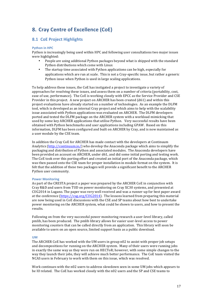# **8. Cray Centre of Excellence (CoE)**

# **8.1 CoE Project Highlights**

### **Python in HPC**

Python is increasingly being used within HPC and following user consultations two major issues were highlighted:

- People are using additional Python packages beyond what is shipped with the standard Python distributions which come with Linux
- The startup time associated with Python applications can be high, especially for applications which are run at scale. This is not a Cray-specific issue, but rather a generic Python issue when Python is used in large scaling applications.

To help address these issues, the CoE has instigated a project to investigate a variety of approaches for resolving these issues, and assess them on a number of criteria (portability, cost, ease of use, performance). The CoE is working closely with EPCC as the Service Provider and CSE Provider in this project. A new project on ARCHER has been created  $(d61)$  and within this project evaluations have already started on a number of technologies. As an example the DLFM tool, which is developed as an internal Cray project and which aims to help with the scalability issue associated with Python applications was evaluated on ARCHER. The DLFM developers ported and tested the DLFM package on the ARCHER system with a workload mimicking that used by some key ARCHER applications that utilise Python. Very successful results have been obtained with Python benchmarks and user applications including GPAW. Based on this information, DLFM has been configured and built on ARCHER by Cray, and is now maintained as a user module by the CSE team.

In addition the Cray CoE for ARCHER has made contact with the developers at Continuum Analytics (http://continuum.io/) who develop the Anaconda package which aims to simplify the packaging and distribution of Python and associated modules. The Anaconda developers have been provided an account on ARCHER, under d61, and did some initial porting and testing work. The CoE took over this porting effort and created an initial port of the Anaconda package, which was then passed onto the CSE team for proper installation in module format on the system. It is felt that the addition of these two packages will provide a significant benefit to the ARCHER Python user community.

### **Power Monitoring**

As part of the CRESTA project a paper was prepared by the ARCHER CoE in conjunction with Cray R&D and users from TUD on power monitoring on Cray XC30 systems, and presented at CUG2014 in Lugano. The paper was very well received and was a runner-up for best paper award at the conference (https://cug.org/CUG2014). The lessons learned from preparing this material are now being used in CoE discussions with the CSE and SP teams about how best to undertake power monitoring on the ARCHER system, what could be shown to users, and how to present the results.

Following on from the very successful power monitoring research a user-level library, called pmlib, has been produced. The pmlib library allows for easier user-level access to power monitoring counters that can be called directly from an application. This library will soon be available to users on an open source, limited support basis as a public download.

### **UM**

The ARCHER CoE has worked with the UM users in group n02 to assist with proper job setups and decompositions for running on the ARCHER system. Many of their users were running jobs in exactly the same way as they were run on HECToR; however, with some simple changes to the way they launch their jobs, they will achieve much better performance. The CoE team visited the NCAS users in February to work with them on this issue, which was resolved.

Work continues with the n02 users to address slowdown seen in some UM jobs which appears to be IO related. The CoE has worked closely with the n02 users and the SP and CSE teams to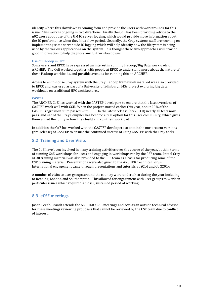identify where this slowdown is coming from and provide the users with workarounds for this issue. This work is ongoing in two directions. Firstly the CoE has been providing advice to the n02 users about use of the UM IO server logging, which would provide more information about the IO performance when they hit a slow period. Secondly, the Cray systems staff are working on implementing some server side IO logging which will help identify how the filesystem is being used by the various applications on the system. It is thought these two approaches will provide good information to help diagnose any further slowdowns.

#### **Use of Hadoop in HPC**

Some users and EPCC have expressed an interest in running Hadoop/Big Data workloads on ARCHER. The CoE worked together with people at EPCC to understand more about the nature of these Hadoop workloads, and possible avenues for running this on ARCHER.

Access to an in-house Cray system with the Cray Hadoop framework installed was also provided to EPCC and was used as part of a University of Edinburgh MSc project exploring big data workloads on traditional HPC architectures.

#### **CASTEP**

The ARCHER CoE has worked with the CASTEP developers to ensure that the latest versions of CASTEP work well with CCE. When the project started earlier this year, about 20% of the CASTEP regression suite passed with CCE. In the latest release ( $ccc/8.3.0$ ) nearly all tests now pass, and use of the Cray Compiler has become a real option for this user community, which gives them added flexibility in how they build and run their workload.

In addition the CoE has worked with the CASTEP developers to obtain the most recent versions (pre-release) of CASTEP to ensure the continued success of using CASTEP with the Cray tools.

### **8.2 Training and User Visits**

The CoE have been involved in many training activities over the course of the year, both in terms of running CoE workshops for users and engaging in workshops ran by the CSE team. Initial Cray XC30 training material was also provided to the CSE team as a basis for producing some of the CSE training material. Presentations were also given to the ARCHER Technical Forum. International engagement came through presentations and tutorials at SC14 and CUG2014.

A number of visits to user groups around the country were undertaken during the year including to Reading, London and Southampton. This allowed for engagement with user groups to work on particular issues which required a closer, sustained period of working.

### **8.3 eCSE meetings**

Jason Beech-Brandt attends the ARCHER eCSE meetings and acts as an outside technical advisor for these meetings reviewing proposals that cannot be reviewed by the CSE team due to conflict of interest.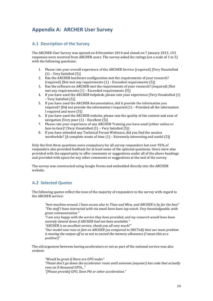# **Appendix A: ARCHER User Survey**

### **A.1 Description of the Survey**

The ARCHER User Survey was opened on 8 December 2014 and closed on 7 January 2015. 153 responses were received from ARCHER users. The survey asked for ratings (on a scale of 1 to 5) with the following questions:

- 1. Please rate your overall experience of the ARCHER Service (required) [Very Unsatisfied  $(1)$  – Very Satisfied  $(5)$ ]
- 2. Has the ARCHER hardware configuration met the requirements of your research? (required) [Not met any requirements  $(1)$  – Exceeded requirements  $(5)$ ]
- 3. Has the software on ARCHER met the requirements of your research? (required) [Not met any requirements  $(1)$  – Exceeded requirements  $(5)$ ]
- 4. If you have used the ARCHER helpdesk, please rate your experience [Very Unsatisfied (1) – Very Satisfied (5)]
- 5. If you have used the ARCHER documentation, did it provide the information you required? [Did not provide the information I required  $(1)$  – Provided all the information I required and more (5)]
- 6. If you have used the ARCHER website, please rate the quality of the content and ease of navigation [Very poor  $(1)$  – Excellent  $(5)$ ]
- 7. Please rate your experience of any ARCHER Training you have used (either online or face-to-face)? [Very Unsatisfied  $(1)$  – Very Satisfied  $(5)$ ]
- 8. If you have attended any Technical Forum Webinars, did you find the session worthwhile? [A complete waste of time  $(1)$  – Extremely interesting and useful  $(5)$ ]

Only the first three questions were compulsory for all survey responders but over 92% of responders also provided feedback for at least some of the optional questions. Users were also provided with the opportunity to offer comments or suggestions under all of the above headings and provided with space for any other comments or suggestions at the end of the survey.

The survey was constructed using Google Forms and embedded directly into the ARCHER website.

# **A.2 Selected Quotes**

The following quotes reflect the tone of the majority of responders to the survey with regard to the ARCHER service:

"best machine around. I have access also to Titan and Mira, and ARCHER is by far the best" *"The staff I have interacted with via email have been top-notch. Very knowledgeable, with great communication."*

*"I* am very happy with the service they have provided, and my research would have been *severely slowed down if ARCHER had not been available."*

"ARCHER is an excellent service, thank you all very much!"

*"Our model now runs so fast on ARCHER (as compared to HECToR)* that our main problem *is* moving the output off so as not to exceed the memory allowance (I mean this as a *positive!)"*

The old argument between having accelerators or not as part of the national service was also evident:

*"Would be great if there are GPU nodes"* "Please don't go down the accelerator route until someone (anyone!) has code that actually *runs on X thousand GPUs..." "[Please provide] GPU, Xeon Phi or other acceleration."*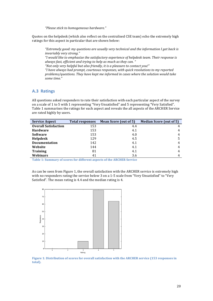*"Please stick to homogeneous hardware."*

Quotes on the helpdesk (which also reflect on the centralised CSE team) echo the extremely high ratings for this aspect in particular that are shown below:

*"Extremely good: my questions are usually very technical and the information I get back is invariably very strong."*

"I would like to emphasize the satisfactory experience of helpdesk team. Their response is always fast, efficient and trying to help as much as they can. "

"Not only very helpful but also friendly, it is a pleasure to contact you!"

"I have always had prompt, courteous responses, with quick resolutions to my reported problems/questions. They have kept me informed in cases where the solution would take *some time."*

### **A.3 Ratings**

All questions asked responders to rate their satisfaction with each particular aspect of the survey on a scale of 1 to 5 with 1 representing "Very Unsatisfied" and 5 representing "Very Satisfied". Table 1 summarises the ratings for each aspect and reveals the all aspects of the ARCHER Service are rated highly by users.

| <b>Service Aspect</b>       | <b>Total responses</b> | Mean Score (out of 5) | <b>Median Score (out of 5)</b> |
|-----------------------------|------------------------|-----------------------|--------------------------------|
| <b>Overall Satisfaction</b> | 153                    | 4.4                   | 4                              |
| <b>Hardware</b>             | 153                    | 4.1                   | 4                              |
| <b>Software</b>             | 153                    | 4.0                   | 4                              |
| Helpdesk                    | 129                    | 4.5                   |                                |
| <b>Documentation</b>        | 142                    | 4.1                   | 4                              |
| Website                     | 144                    | 4.1                   | 4                              |
| <b>Training</b>             | 81                     | 4.1                   | 4                              |
| Webinars                    | 41                     | 3.6                   | 4                              |

**Table 1: Summary of scores for different aspects of the ARCHER Service** 

As can be seen from Figure 1, the overall satisfaction with the ARCHER service is extremely high with no responders rating the service below 3 on a 1-5 scale from "Very Unsatisfied" to "Very Satisfied". The mean rating is 4.4 and the median rating is 4.



Figure 1: Distribution of scores for overall satisfaction with the ARCHER service (153 responses in **total).**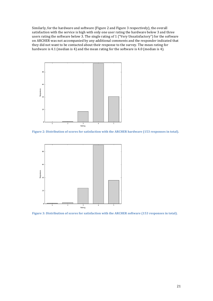Similarly, for the hardware and software (Figure 2 and Figure 3 respectively), the overall satisfaction with the service is high with only one user rating the hardware below 3 and three users rating the software below 3. The single rating of 1 ("Very Unsatisfactory") for the software on ARCHER was not accompanied by any additional comments and the responder indicated that they did not want to be contacted about their response to the survey. The mean rating for hardware is 4.1 (median is 4) and the mean rating for the software is 4.0 (median is 4).



Figure 2: Distribution of scores for satisfaction with the ARCHER hardware (153 responses in total).



Figure 3: Distribution of scores for satisfaction with the ARCHER software (153 responses in total).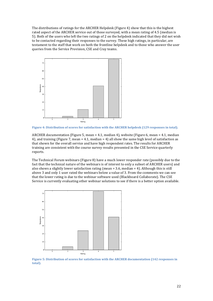The distributions of ratings for the ARCHER Helpdesk (Figure 4) show that this is the highest rated aspect of the ARCHER service out of those surveyed, with a mean rating of 4.5 (median is 5). Both of the users who left the two ratings of 2 on the helpdesk indicated that they did not wish to be contacted regarding their responses to the survey. These high ratings, in particular, are testament to the staff that work on both the frontline helpdesk and to those who answer the user queries from the Service Provision, CSE and Cray teams.



Figure 4: Distribution of scores for satisfaction with the ARCHER helpdesk (129 responses in total).

ARCHER documentation (Figure 5, mean = 4.1, median 4), website (Figure 6, mean = 4.1, median 4), and training (Figure 7, mean =  $4.1$ , median =  $4$ ) all show the same high level of satisfaction as that shown for the overall service and have high respondent rates. The results for ARCHER training are consistent with the course survey results presented in the CSE Service quarterly reports.

The Technical Forum webinars (Figure  $8$ ) have a much lower responder rate (possibly due to the fact that the technical nature of the webinars is of interest to only a subset of ARCHER users) and also shows a slightly lower satisfaction rating (mean  $= 3.6$ , median  $= 4$ ). Although this is still above 3 and only 1 user rated the webinars below a value of 3. From the comments we can see that the lower rating is due to the webinar software used (Blackboard Collaborate). The CSE Service is currently evaluating other webinar solutions to see if there is a better option available.



Figure 5: Distribution of scores for satisfaction with the ARCHER documentation (142 responses in **total).**